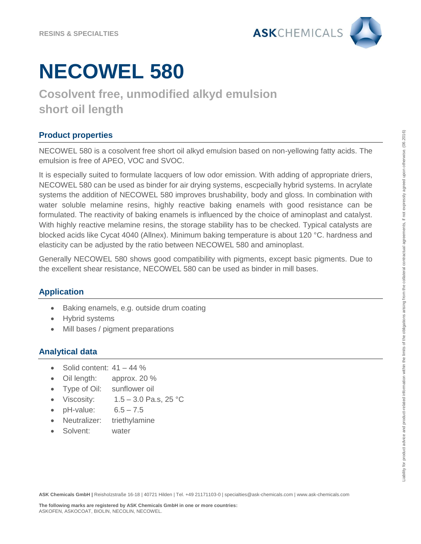

# **NECOWEL 580**

## **Cosolvent free, unmodified alkyd emulsion short oil length**

### **Product properties**

NECOWEL 580 is a cosolvent free short oil alkyd emulsion based on non-yellowing fatty acids. The emulsion is free of APEO, VOC and SVOC.

It is especially suited to formulate lacquers of low odor emission. With adding of appropriate driers, NECOWEL 580 can be used as binder for air drying systems, escpecially hybrid systems. In acrylate systems the addition of NECOWEL 580 improves brushability, body and gloss. In combination with water soluble melamine resins, highly reactive baking enamels with good resistance can be formulated. The reactivity of baking enamels is influenced by the choice of aminoplast and catalyst. With highly reactive melamine resins, the storage stability has to be checked. Typical catalysts are blocked acids like Cycat 4040 (Allnex). Minimum baking temperature is about 120 °C. hardness and elasticity can be adjusted by the ratio between NECOWEL 580 and aminoplast.

Generally NECOWEL 580 shows good compatibility with pigments, except basic pigments. Due to the excellent shear resistance, NECOWEL 580 can be used as binder in mill bases.

### **Application**

- Baking enamels, e.g. outside drum coating
- Hybrid systems
- Mill bases / pigment preparations

#### **Analytical data**

- Solid content: 41 44 %
- Oil length: approx. 20 %
- Type of Oil: sunflower oil
- Viscosity:  $1.5 3.0$  Pa.s, 25 °C
- $pH-value: 6.5 7.5$
- Neutralizer: triethylamine
- Solvent: water

**ASK Chemicals GmbH |** Reisholzstraße 16-18 | 40721 Hilden | Tel. +49 21171103-0 | specialties@ask-chemicals.com | www.ask-chemicals.com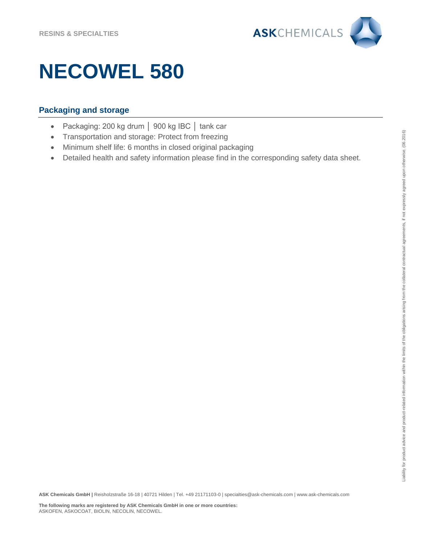

# **NECOWEL 580**

### **Packaging and storage**

- Packaging: 200 kg drum │ 900 kg IBC │ tank car
- Transportation and storage: Protect from freezing
- Minimum shelf life: 6 months in closed original packaging
- Detailed health and safety information please find in the corresponding safety data sheet.

**ASK Chemicals GmbH |** Reisholzstraße 16-18 | 40721 Hilden | Tel. +49 21171103-0 | specialties@ask-chemicals.com | www.ask-chemicals.com